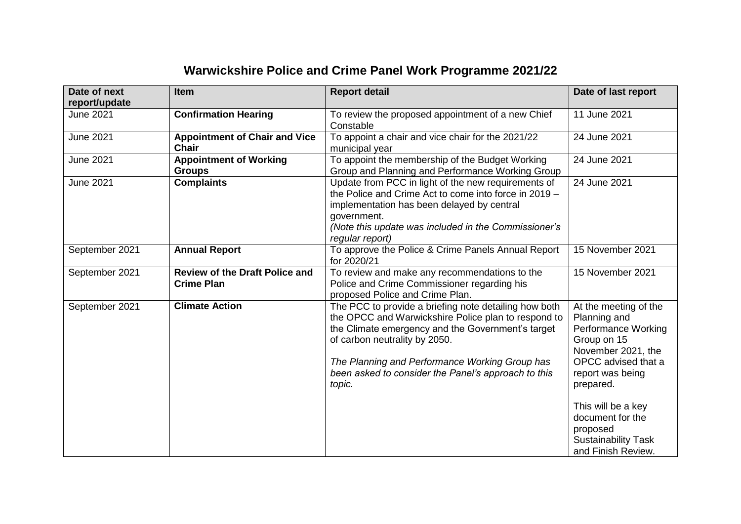## **Warwickshire Police and Crime Panel Work Programme 2021/22**

| Date of next<br>report/update | <b>Item</b>                                                | <b>Report detail</b>                                                                                                                                                                                                                                                                                                  | Date of last report                                                                                                                                                                                 |
|-------------------------------|------------------------------------------------------------|-----------------------------------------------------------------------------------------------------------------------------------------------------------------------------------------------------------------------------------------------------------------------------------------------------------------------|-----------------------------------------------------------------------------------------------------------------------------------------------------------------------------------------------------|
| <b>June 2021</b>              | <b>Confirmation Hearing</b>                                | To review the proposed appointment of a new Chief<br>Constable                                                                                                                                                                                                                                                        | 11 June 2021                                                                                                                                                                                        |
| <b>June 2021</b>              | <b>Appointment of Chair and Vice</b><br><b>Chair</b>       | To appoint a chair and vice chair for the 2021/22<br>municipal year                                                                                                                                                                                                                                                   | 24 June 2021                                                                                                                                                                                        |
| <b>June 2021</b>              | <b>Appointment of Working</b><br><b>Groups</b>             | To appoint the membership of the Budget Working<br>Group and Planning and Performance Working Group                                                                                                                                                                                                                   | 24 June 2021                                                                                                                                                                                        |
| <b>June 2021</b>              | <b>Complaints</b>                                          | Update from PCC in light of the new requirements of<br>the Police and Crime Act to come into force in 2019 -<br>implementation has been delayed by central<br>government.<br>(Note this update was included in the Commissioner's<br>regular report)                                                                  | 24 June 2021                                                                                                                                                                                        |
| September 2021                | <b>Annual Report</b>                                       | To approve the Police & Crime Panels Annual Report<br>for 2020/21                                                                                                                                                                                                                                                     | 15 November 2021                                                                                                                                                                                    |
| September 2021                | <b>Review of the Draft Police and</b><br><b>Crime Plan</b> | To review and make any recommendations to the<br>Police and Crime Commissioner regarding his<br>proposed Police and Crime Plan.                                                                                                                                                                                       | 15 November 2021                                                                                                                                                                                    |
| September 2021                | <b>Climate Action</b>                                      | The PCC to provide a briefing note detailing how both<br>the OPCC and Warwickshire Police plan to respond to<br>the Climate emergency and the Government's target<br>of carbon neutrality by 2050.<br>The Planning and Performance Working Group has<br>been asked to consider the Panel's approach to this<br>topic. | At the meeting of the<br>Planning and<br>Performance Working<br>Group on 15<br>November 2021, the<br>OPCC advised that a<br>report was being<br>prepared.<br>This will be a key<br>document for the |
|                               |                                                            |                                                                                                                                                                                                                                                                                                                       | proposed<br><b>Sustainability Task</b><br>and Finish Review.                                                                                                                                        |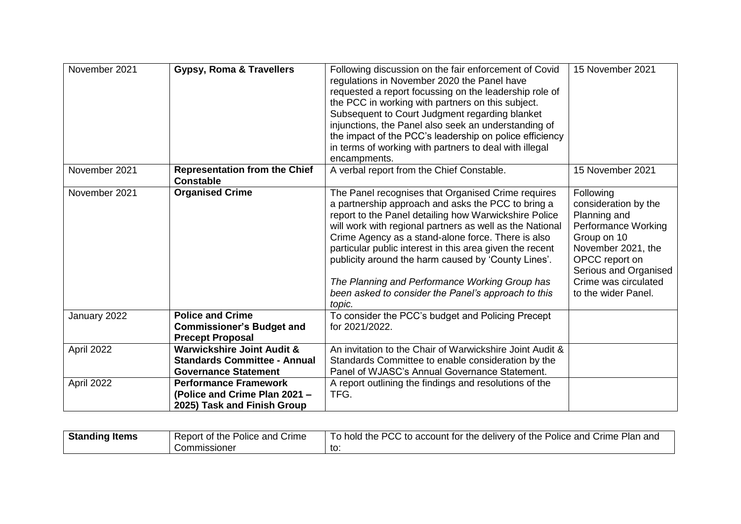| November 2021 | <b>Gypsy, Roma &amp; Travellers</b>                                                                         | Following discussion on the fair enforcement of Covid<br>regulations in November 2020 the Panel have<br>requested a report focussing on the leadership role of<br>the PCC in working with partners on this subject.<br>Subsequent to Court Judgment regarding blanket<br>injunctions, the Panel also seek an understanding of<br>the impact of the PCC's leadership on police efficiency<br>in terms of working with partners to deal with illegal<br>encampments.                                                        | 15 November 2021                                                                                                                                                                                               |
|---------------|-------------------------------------------------------------------------------------------------------------|---------------------------------------------------------------------------------------------------------------------------------------------------------------------------------------------------------------------------------------------------------------------------------------------------------------------------------------------------------------------------------------------------------------------------------------------------------------------------------------------------------------------------|----------------------------------------------------------------------------------------------------------------------------------------------------------------------------------------------------------------|
| November 2021 | <b>Representation from the Chief</b><br><b>Constable</b>                                                    | A verbal report from the Chief Constable.                                                                                                                                                                                                                                                                                                                                                                                                                                                                                 | 15 November 2021                                                                                                                                                                                               |
| November 2021 | <b>Organised Crime</b>                                                                                      | The Panel recognises that Organised Crime requires<br>a partnership approach and asks the PCC to bring a<br>report to the Panel detailing how Warwickshire Police<br>will work with regional partners as well as the National<br>Crime Agency as a stand-alone force. There is also<br>particular public interest in this area given the recent<br>publicity around the harm caused by 'County Lines'.<br>The Planning and Performance Working Group has<br>been asked to consider the Panel's approach to this<br>topic. | Following<br>consideration by the<br>Planning and<br><b>Performance Working</b><br>Group on 10<br>November 2021, the<br>OPCC report on<br>Serious and Organised<br>Crime was circulated<br>to the wider Panel. |
| January 2022  | <b>Police and Crime</b><br><b>Commissioner's Budget and</b><br><b>Precept Proposal</b>                      | To consider the PCC's budget and Policing Precept<br>for 2021/2022.                                                                                                                                                                                                                                                                                                                                                                                                                                                       |                                                                                                                                                                                                                |
| April 2022    | <b>Warwickshire Joint Audit &amp;</b><br><b>Standards Committee - Annual</b><br><b>Governance Statement</b> | An invitation to the Chair of Warwickshire Joint Audit &<br>Standards Committee to enable consideration by the<br>Panel of WJASC's Annual Governance Statement.                                                                                                                                                                                                                                                                                                                                                           |                                                                                                                                                                                                                |
| April 2022    | <b>Performance Framework</b><br>(Police and Crime Plan 2021 -<br>2025) Task and Finish Group                | A report outlining the findings and resolutions of the<br>TFG.                                                                                                                                                                                                                                                                                                                                                                                                                                                            |                                                                                                                                                                                                                |

| <b>Standing Items</b> | Report of the Police and Crime | To hold the PCC to account for the delivery of the Police and Crime Plan and |
|-----------------------|--------------------------------|------------------------------------------------------------------------------|
|                       | Commissioner                   | to.                                                                          |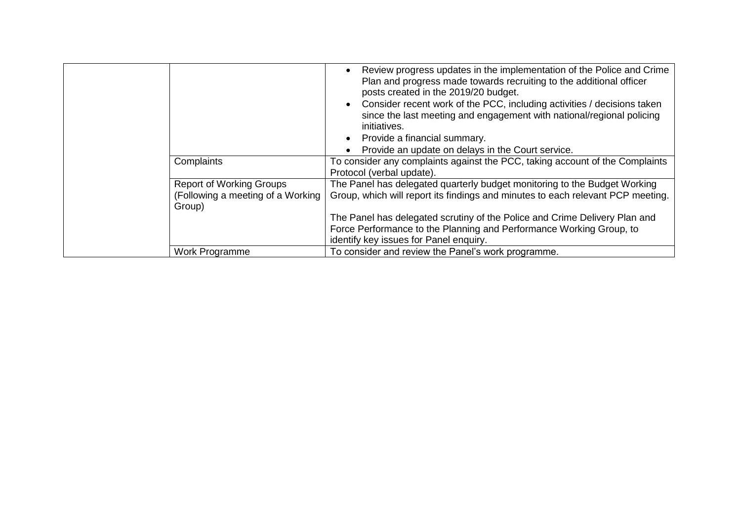| Complaints                                                                     | Review progress updates in the implementation of the Police and Crime<br>$\bullet$<br>Plan and progress made towards recruiting to the additional officer<br>posts created in the 2019/20 budget.<br>Consider recent work of the PCC, including activities / decisions taken<br>$\bullet$<br>since the last meeting and engagement with national/regional policing<br>initiatives.<br>Provide a financial summary.<br>$\bullet$<br>Provide an update on delays in the Court service.<br>$\bullet$<br>To consider any complaints against the PCC, taking account of the Complaints<br>Protocol (verbal update). |
|--------------------------------------------------------------------------------|----------------------------------------------------------------------------------------------------------------------------------------------------------------------------------------------------------------------------------------------------------------------------------------------------------------------------------------------------------------------------------------------------------------------------------------------------------------------------------------------------------------------------------------------------------------------------------------------------------------|
| <b>Report of Working Groups</b><br>(Following a meeting of a Working<br>Group) | The Panel has delegated quarterly budget monitoring to the Budget Working<br>Group, which will report its findings and minutes to each relevant PCP meeting.<br>The Panel has delegated scrutiny of the Police and Crime Delivery Plan and<br>Force Performance to the Planning and Performance Working Group, to<br>identify key issues for Panel enquiry.                                                                                                                                                                                                                                                    |
| Work Programme                                                                 | To consider and review the Panel's work programme.                                                                                                                                                                                                                                                                                                                                                                                                                                                                                                                                                             |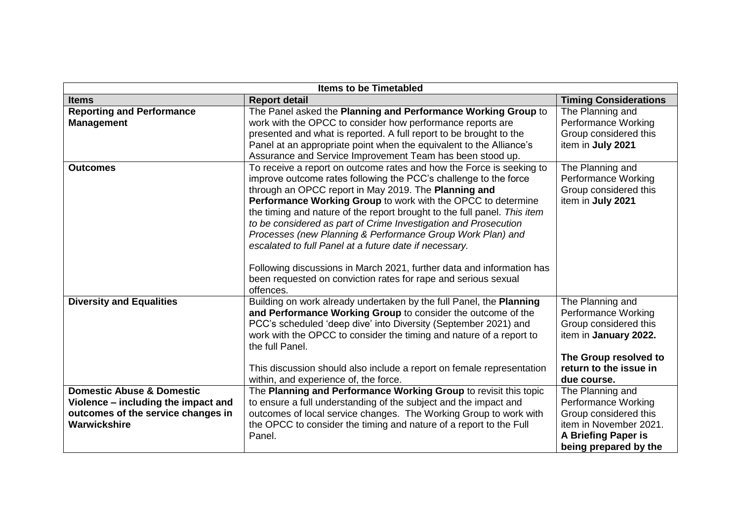| <b>Items to be Timetabled</b>                                                                                                     |                                                                                                                                                                                                                                                                                                                                                                                                                                                                                                                                                                                                                                                                                                 |                                                                                                                                                             |  |
|-----------------------------------------------------------------------------------------------------------------------------------|-------------------------------------------------------------------------------------------------------------------------------------------------------------------------------------------------------------------------------------------------------------------------------------------------------------------------------------------------------------------------------------------------------------------------------------------------------------------------------------------------------------------------------------------------------------------------------------------------------------------------------------------------------------------------------------------------|-------------------------------------------------------------------------------------------------------------------------------------------------------------|--|
| <b>Items</b>                                                                                                                      | <b>Report detail</b>                                                                                                                                                                                                                                                                                                                                                                                                                                                                                                                                                                                                                                                                            | <b>Timing Considerations</b>                                                                                                                                |  |
| <b>Reporting and Performance</b><br><b>Management</b>                                                                             | The Panel asked the Planning and Performance Working Group to<br>work with the OPCC to consider how performance reports are<br>presented and what is reported. A full report to be brought to the<br>Panel at an appropriate point when the equivalent to the Alliance's<br>Assurance and Service Improvement Team has been stood up.                                                                                                                                                                                                                                                                                                                                                           | The Planning and<br><b>Performance Working</b><br>Group considered this<br>item in July 2021                                                                |  |
| <b>Outcomes</b>                                                                                                                   | To receive a report on outcome rates and how the Force is seeking to<br>improve outcome rates following the PCC's challenge to the force<br>through an OPCC report in May 2019. The Planning and<br>Performance Working Group to work with the OPCC to determine<br>the timing and nature of the report brought to the full panel. This item<br>to be considered as part of Crime Investigation and Prosecution<br>Processes (new Planning & Performance Group Work Plan) and<br>escalated to full Panel at a future date if necessary.<br>Following discussions in March 2021, further data and information has<br>been requested on conviction rates for rape and serious sexual<br>offences. | The Planning and<br>Performance Working<br>Group considered this<br>item in July 2021                                                                       |  |
| <b>Diversity and Equalities</b>                                                                                                   | Building on work already undertaken by the full Panel, the Planning<br>and Performance Working Group to consider the outcome of the<br>PCC's scheduled 'deep dive' into Diversity (September 2021) and<br>work with the OPCC to consider the timing and nature of a report to<br>the full Panel.<br>This discussion should also include a report on female representation<br>within, and experience of, the force.                                                                                                                                                                                                                                                                              | The Planning and<br>Performance Working<br>Group considered this<br>item in January 2022.<br>The Group resolved to<br>return to the issue in<br>due course. |  |
| <b>Domestic Abuse &amp; Domestic</b><br>Violence - including the impact and<br>outcomes of the service changes in<br>Warwickshire | The Planning and Performance Working Group to revisit this topic<br>to ensure a full understanding of the subject and the impact and<br>outcomes of local service changes. The Working Group to work with<br>the OPCC to consider the timing and nature of a report to the Full<br>Panel.                                                                                                                                                                                                                                                                                                                                                                                                       | The Planning and<br><b>Performance Working</b><br>Group considered this<br>item in November 2021.<br>A Briefing Paper is<br>being prepared by the           |  |